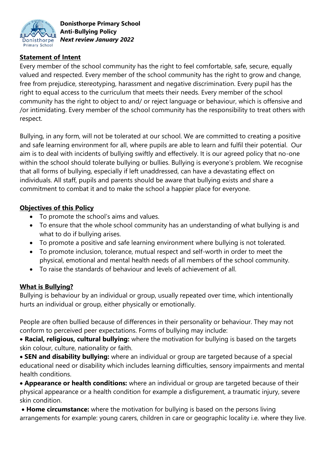

## **Statement of Intent**

Every member of the school community has the right to feel comfortable, safe, secure, equally valued and respected. Every member of the school community has the right to grow and change, free from prejudice, stereotyping, harassment and negative discrimination. Every pupil has the right to equal access to the curriculum that meets their needs. Every member of the school community has the right to object to and/ or reject language or behaviour, which is offensive and /or intimidating. Every member of the school community has the responsibility to treat others with respect.

Bullying, in any form, will not be tolerated at our school. We are committed to creating a positive and safe learning environment for all, where pupils are able to learn and fulfil their potential. Our aim is to deal with incidents of bullying swiftly and effectively. It is our agreed policy that no-one within the school should tolerate bullying or bullies. Bullying is everyone's problem. We recognise that all forms of bullying, especially if left unaddressed, can have a devastating effect on individuals. All staff, pupils and parents should be aware that bullying exists and share a commitment to combat it and to make the school a happier place for everyone.

### **Objectives of this Policy**

- To promote the school's aims and values.
- To ensure that the whole school community has an understanding of what bullying is and what to do if bullying arises.
- To promote a positive and safe learning environment where bullying is not tolerated.
- To promote inclusion, tolerance, mutual respect and self-worth in order to meet the physical, emotional and mental health needs of all members of the school community.
- To raise the standards of behaviour and levels of achievement of all.

## **What is Bullying?**

Bullying is behaviour by an individual or group, usually repeated over time, which intentionally hurts an individual or group, either physically or emotionally.

People are often bullied because of differences in their personality or behaviour. They may not conform to perceived peer expectations. Forms of bullying may include:

 **Racial, religious, cultural bullying:** where the motivation for bullying is based on the targets skin colour, culture, nationality or faith.

 **SEN and disability bullying:** where an individual or group are targeted because of a special educational need or disability which includes learning difficulties, sensory impairments and mental health conditions.

 **Appearance or health conditions:** where an individual or group are targeted because of their physical appearance or a health condition for example a disfigurement, a traumatic injury, severe skin condition.

 **Home circumstance:** where the motivation for bullying is based on the persons living arrangements for example: young carers, children in care or geographic locality i.e. where they live.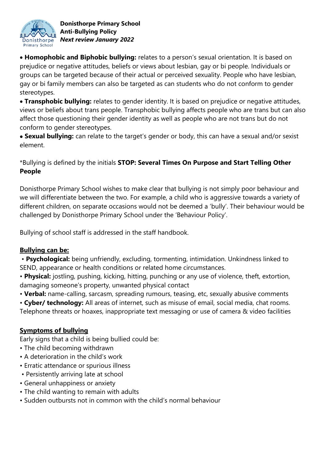

 **Homophobic and Biphobic bullying:** relates to a person's sexual orientation. It is based on prejudice or negative attitudes, beliefs or views about lesbian, gay or bi people. Individuals or groups can be targeted because of their actual or perceived sexuality. People who have lesbian, gay or bi family members can also be targeted as can students who do not conform to gender stereotypes.

 **Transphobic bullying:** relates to gender identity. It is based on prejudice or negative attitudes, views or beliefs about trans people. Transphobic bullying affects people who are trans but can also affect those questioning their gender identity as well as people who are not trans but do not conform to gender stereotypes.

 **Sexual bullying:** can relate to the target's gender or body, this can have a sexual and/or sexist element.

# \*Bullying is defined by the initials **STOP: Several Times On Purpose and Start Telling Other People**

Donisthorpe Primary School wishes to make clear that bullying is not simply poor behaviour and we will differentiate between the two. For example, a child who is aggressive towards a variety of different children, on separate occasions would not be deemed a 'bully'. Their behaviour would be challenged by Donisthorpe Primary School under the 'Behaviour Policy'.

Bullying of school staff is addressed in the staff handbook.

## **Bullying can be:**

- **Psychological:** being unfriendly, excluding, tormenting, intimidation. Unkindness linked to SEND, appearance or health conditions or related home circumstances.
- **Physical:** jostling, pushing, kicking, hitting, punching or any use of violence, theft, extortion, damaging someone's property, unwanted physical contact
- **Verbal:** name-calling, sarcasm, spreading rumours, teasing, etc, sexually abusive comments
- **Cyber/ technology:** All areas of internet, such as misuse of email, social media, chat rooms.
- Telephone threats or hoaxes, inappropriate text messaging or use of camera & video facilities

## **Symptoms of bullying**

Early signs that a child is being bullied could be:

- The child becoming withdrawn
- A deterioration in the child's work
- Erratic attendance or spurious illness
- Persistently arriving late at school
- General unhappiness or anxiety
- The child wanting to remain with adults
- Sudden outbursts not in common with the child's normal behaviour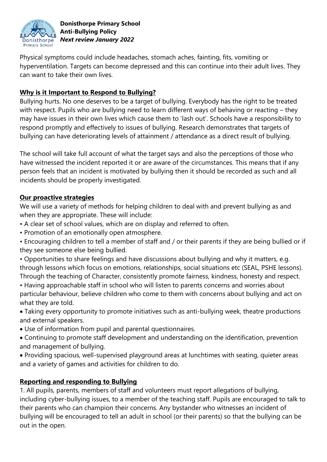

Physical symptoms could include headaches, stomach aches, fainting, fits, vomiting or hyperventilation. Targets can become depressed and this can continue into their adult lives. They can want to take their own lives.

# **Why is it Important to Respond to Bullying?**

Bullying hurts. No one deserves to be a target of bullying. Everybody has the right to be treated with respect. Pupils who are bullying need to learn different ways of behaving or reacting – they may have issues in their own lives which cause them to 'lash out'. Schools have a responsibility to respond promptly and effectively to issues of bullying. Research demonstrates that targets of bullying can have deteriorating levels of attainment / attendance as a direct result of bullying.

The school will take full account of what the target says and also the perceptions of those who have witnessed the incident reported it or are aware of the circumstances. This means that if any person feels that an incident is motivated by bullying then it should be recorded as such and all incidents should be properly investigated.

## **Our proactive strategies**

We will use a variety of methods for helping children to deal with and prevent bullying as and when they are appropriate. These will include:

- A clear set of school values, which are on display and referred to often.
- Promotion of an emotionally open atmosphere.
- Encouraging children to tell a member of staff and / or their parents if they are being bullied or if they see someone else being bullied.
- Opportunities to share feelings and have discussions about bullying and why it matters, e.g. through lessons which focus on emotions, relationships, social situations etc (SEAL, PSHE lessons). Through the teaching of Character, consistently promote fairness, kindness, honesty and respect.
- Having approachable staff in school who will listen to parents concerns and worries about particular behaviour, believe children who come to them with concerns about bullying and act on what they are told.
- Taking every opportunity to promote initiatives such as anti-bullying week, theatre productions and external speakers.
- Use of information from pupil and parental questionnaires.
- Continuing to promote staff development and understanding on the identification, prevention and management of bullying.
- Providing spacious, well-supervised playground areas at lunchtimes with seating, quieter areas and a variety of games and activities for children to do.

## **Reporting and responding to Bullying**

1. All pupils, parents, members of staff and volunteers must report allegations of bullying, including cyber-bullying issues, to a member of the teaching staff. Pupils are encouraged to talk to their parents who can champion their concerns. Any bystander who witnesses an incident of bullying will be encouraged to tell an adult in school (or their parents) so that the bullying can be out in the open.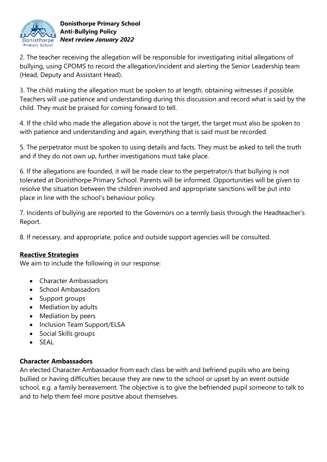

2. The teacher receiving the allegation will be responsible for investigating initial allegations of bullying, using CPOMS to record the allegation/incident and alerting the Senior Leadership team (Head, Deputy and Assistant Head).

3. The child making the allegation must be spoken to at length, obtaining witnesses if possible. Teachers will use patience and understanding during this discussion and record what is said by the child. They must be praised for coming forward to tell.

4. If the child who made the allegation above is not the target, the target must also be spoken to with patience and understanding and again, everything that is said must be recorded.

5. The perpetrator must be spoken to using details and facts. They must be asked to tell the truth and if they do not own up, further investigations must take place.

6. If the allegations are founded, it will be made clear to the perpetrator/s that bullying is not tolerated at Donisthorpe Primary School. Parents will be informed. Opportunities will be given to resolve the situation between the children involved and appropriate sanctions will be put into place in line with the school's behaviour policy.

7. Incidents of bullying are reported to the Governors on a termly basis through the Headteacher's Report.

8. If necessary, and appropriate, police and outside support agencies will be consulted.

## **Reactive Strategies**

We aim to include the following in our response:

- Character Ambassadors
- School Ambassadors
- Support groups
- Mediation by adults
- Mediation by peers
- Inclusion Team Support/ELSA
- Social Skills groups
- $\bullet$  SFAL

#### **Character Ambassadors**

An elected Character Ambassador from each class be with and befriend pupils who are being bullied or having difficulties because they are new to the school or upset by an event outside school, e.g. a family bereavement. The objective is to give the befriended pupil someone to talk to and to help them feel more positive about themselves.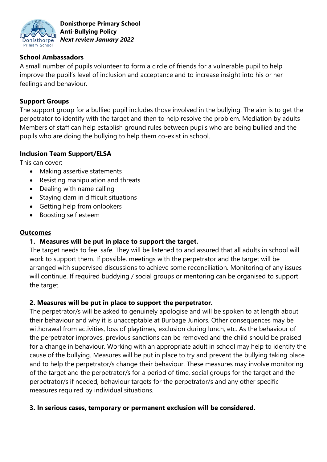

### **School Ambassadors**

A small number of pupils volunteer to form a circle of friends for a vulnerable pupil to help improve the pupil's level of inclusion and acceptance and to increase insight into his or her feelings and behaviour.

### **Support Groups**

The support group for a bullied pupil includes those involved in the bullying. The aim is to get the perpetrator to identify with the target and then to help resolve the problem. Mediation by adults Members of staff can help establish ground rules between pupils who are being bullied and the pupils who are doing the bullying to help them co-exist in school.

### **Inclusion Team Support/ELSA**

This can cover:

- Making assertive statements
- Resisting manipulation and threats
- Dealing with name calling
- Staying clam in difficult situations
- Getting help from onlookers
- Boosting self esteem

#### **Outcomes**

#### **1. Measures will be put in place to support the target.**

The target needs to feel safe. They will be listened to and assured that all adults in school will work to support them. If possible, meetings with the perpetrator and the target will be arranged with supervised discussions to achieve some reconciliation. Monitoring of any issues will continue. If required buddying / social groups or mentoring can be organised to support the target.

## **2. Measures will be put in place to support the perpetrator.**

The perpetrator/s will be asked to genuinely apologise and will be spoken to at length about their behaviour and why it is unacceptable at Burbage Juniors. Other consequences may be withdrawal from activities, loss of playtimes, exclusion during lunch, etc. As the behaviour of the perpetrator improves, previous sanctions can be removed and the child should be praised for a change in behaviour. Working with an appropriate adult in school may help to identify the cause of the bullying. Measures will be put in place to try and prevent the bullying taking place and to help the perpetrator/s change their behaviour. These measures may involve monitoring of the target and the perpetrator/s for a period of time, social groups for the target and the perpetrator/s if needed, behaviour targets for the perpetrator/s and any other specific measures required by individual situations.

#### **3. In serious cases, temporary or permanent exclusion will be considered.**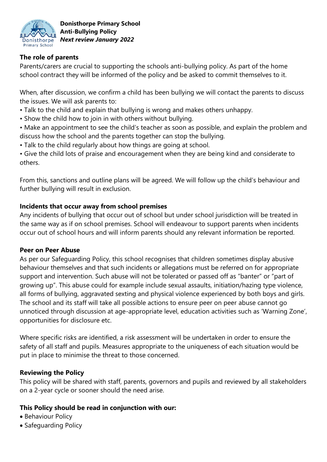

### **The role of parents**

Parents/carers are crucial to supporting the schools anti-bullying policy. As part of the home school contract they will be informed of the policy and be asked to commit themselves to it.

When, after discussion, we confirm a child has been bullying we will contact the parents to discuss the issues. We will ask parents to:

- Talk to the child and explain that bullying is wrong and makes others unhappy.
- Show the child how to join in with others without bullying.

• Make an appointment to see the child's teacher as soon as possible, and explain the problem and discuss how the school and the parents together can stop the bullying.

• Talk to the child regularly about how things are going at school.

• Give the child lots of praise and encouragement when they are being kind and considerate to others.

From this, sanctions and outline plans will be agreed. We will follow up the child's behaviour and further bullying will result in exclusion.

### **Incidents that occur away from school premises**

Any incidents of bullying that occur out of school but under school jurisdiction will be treated in the same way as if on school premises. School will endeavour to support parents when incidents occur out of school hours and will inform parents should any relevant information be reported.

#### **Peer on Peer Abuse**

As per our Safeguarding Policy, this school recognises that children sometimes display abusive behaviour themselves and that such incidents or allegations must be referred on for appropriate support and intervention. Such abuse will not be tolerated or passed off as "banter" or "part of growing up". This abuse could for example include sexual assaults, initiation/hazing type violence, all forms of bullying, aggravated sexting and physical violence experienced by both boys and girls. The school and its staff will take all possible actions to ensure peer on peer abuse cannot go unnoticed through discussion at age-appropriate level, education activities such as 'Warning Zone', opportunities for disclosure etc.

Where specific risks are identified, a risk assessment will be undertaken in order to ensure the safety of all staff and pupils. Measures appropriate to the uniqueness of each situation would be put in place to minimise the threat to those concerned.

## **Reviewing the Policy**

This policy will be shared with staff, parents, governors and pupils and reviewed by all stakeholders on a 2-year cycle or sooner should the need arise.

## **This Policy should be read in conjunction with our:**

- Behaviour Policy
- Safeguarding Policy